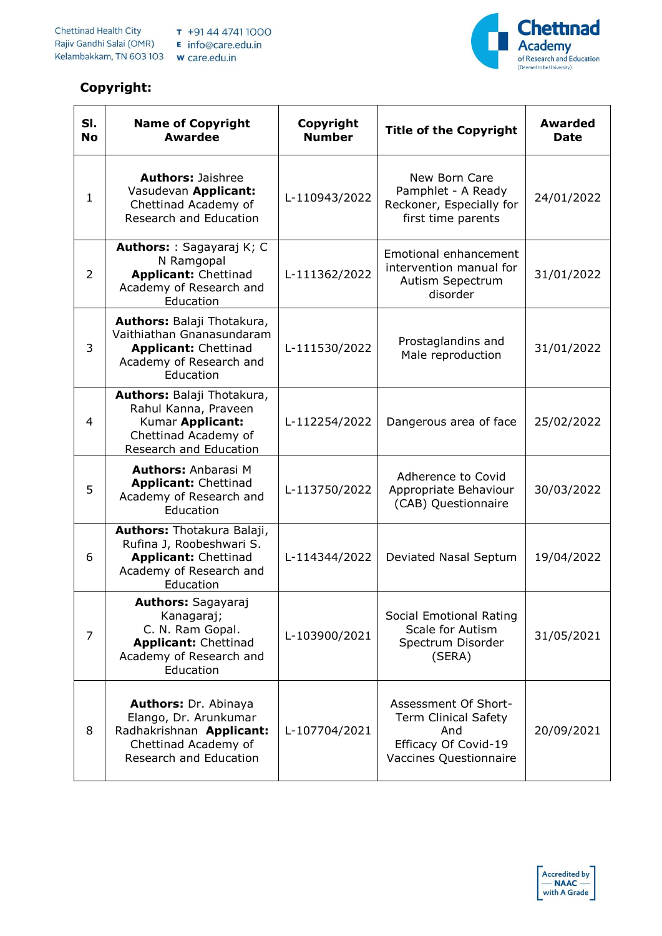## **Copyright:**



| SI.<br><b>No</b> | <b>Name of Copyright</b><br><b>Awardee</b>                                                                                         | Copyright<br><b>Number</b> | <b>Title of the Copyright</b>                                                                                | <b>Awarded</b><br><b>Date</b> |
|------------------|------------------------------------------------------------------------------------------------------------------------------------|----------------------------|--------------------------------------------------------------------------------------------------------------|-------------------------------|
| 1                | <b>Authors: Jaishree</b><br>Vasudevan Applicant:<br>Chettinad Academy of<br>Research and Education                                 | L-110943/2022              | New Born Care<br>Pamphlet - A Ready<br>Reckoner, Especially for<br>first time parents                        | 24/01/2022                    |
| $\overline{2}$   | Authors: : Sagayaraj K; C<br>N Ramgopal<br><b>Applicant: Chettinad</b><br>Academy of Research and<br>Education                     | L-111362/2022              | Emotional enhancement<br>intervention manual for<br>Autism Sepectrum<br>disorder                             | 31/01/2022                    |
| 3                | Authors: Balaji Thotakura,<br>Vaithiathan Gnanasundaram<br><b>Applicant: Chettinad</b><br>Academy of Research and<br>Education     | L-111530/2022              | Prostaglandins and<br>Male reproduction                                                                      | 31/01/2022                    |
| 4                | Authors: Balaji Thotakura,<br>Rahul Kanna, Praveen<br>Kumar Applicant:<br>Chettinad Academy of<br>Research and Education           | L-112254/2022              | Dangerous area of face                                                                                       | 25/02/2022                    |
| 5                | <b>Authors: Anbarasi M</b><br><b>Applicant: Chettinad</b><br>Academy of Research and<br>Education                                  | L-113750/2022              | Adherence to Covid<br>Appropriate Behaviour<br>(CAB) Questionnaire                                           | 30/03/2022                    |
| 6                | Authors: Thotakura Balaji,<br>Rufina J, Roobeshwari S.<br><b>Applicant: Chettinad</b><br>Academy of Research and<br>Education      | L-114344/2022              | Deviated Nasal Septum                                                                                        | 19/04/2022                    |
| 7                | <b>Authors:</b> Sagayaraj<br>Kanagaraj;<br>C. N. Ram Gopal.<br><b>Applicant: Chettinad</b><br>Academy of Research and<br>Education | L-103900/2021              | Social Emotional Rating<br>Scale for Autism<br>Spectrum Disorder<br>(SERA)                                   | 31/05/2021                    |
| 8                | Authors: Dr. Abinaya<br>Elango, Dr. Arunkumar<br>Radhakrishnan Applicant:<br>Chettinad Academy of<br>Research and Education        | L-107704/2021              | Assessment Of Short-<br><b>Term Clinical Safety</b><br>And<br>Efficacy Of Covid-19<br>Vaccines Questionnaire | 20/09/2021                    |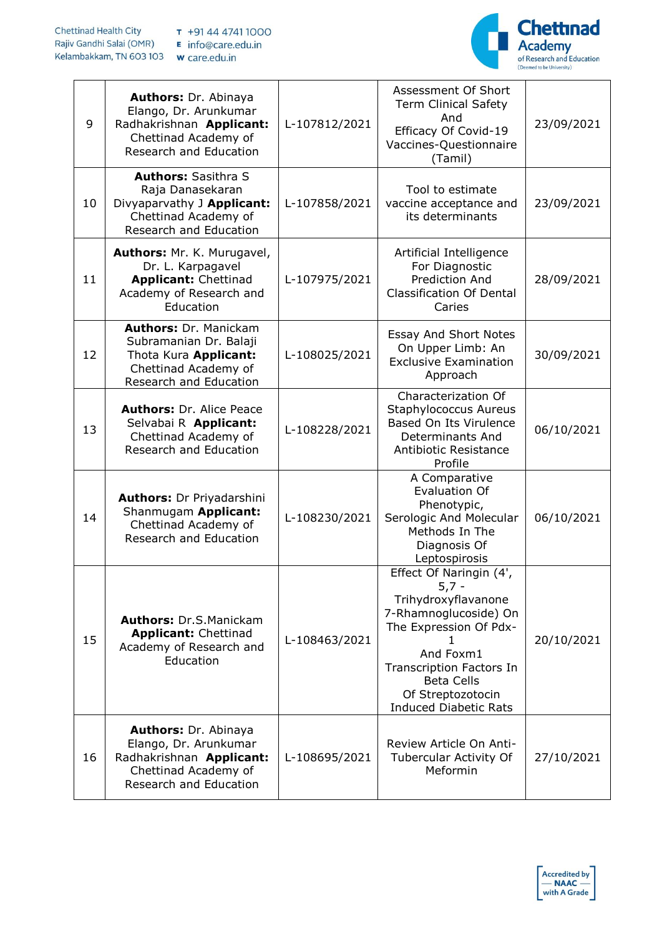

| 9  | Authors: Dr. Abinaya<br>Elango, Dr. Arunkumar<br>Radhakrishnan Applicant:<br>Chettinad Academy of<br>Research and Education        | L-107812/2021 | Assessment Of Short<br><b>Term Clinical Safety</b><br>And<br>Efficacy Of Covid-19<br>Vaccines-Questionnaire<br>(Tamil)                                                                                                                 | 23/09/2021 |
|----|------------------------------------------------------------------------------------------------------------------------------------|---------------|----------------------------------------------------------------------------------------------------------------------------------------------------------------------------------------------------------------------------------------|------------|
| 10 | <b>Authors: Sasithra S</b><br>Raja Danasekaran<br>Divyaparvathy J Applicant:<br>Chettinad Academy of<br>Research and Education     | L-107858/2021 | Tool to estimate<br>vaccine acceptance and<br>its determinants                                                                                                                                                                         | 23/09/2021 |
| 11 | Authors: Mr. K. Murugavel,<br>Dr. L. Karpagavel<br><b>Applicant: Chettinad</b><br>Academy of Research and<br>Education             | L-107975/2021 | Artificial Intelligence<br>For Diagnostic<br>Prediction And<br><b>Classification Of Dental</b><br>Caries                                                                                                                               | 28/09/2021 |
| 12 | <b>Authors: Dr. Manickam</b><br>Subramanian Dr. Balaji<br>Thota Kura Applicant:<br>Chettinad Academy of<br>Research and Education  | L-108025/2021 | <b>Essay And Short Notes</b><br>On Upper Limb: An<br><b>Exclusive Examination</b><br>Approach                                                                                                                                          | 30/09/2021 |
| 13 | <b>Authors: Dr. Alice Peace</b><br>Selvabai R Applicant:<br>Chettinad Academy of<br>Research and Education                         | L-108228/2021 | Characterization Of<br><b>Staphylococcus Aureus</b><br>Based On Its Virulence<br>Determinants And<br>Antibiotic Resistance<br>Profile                                                                                                  | 06/10/2021 |
| 14 | <b>Authors:</b> Dr Priyadarshini<br>Shanmugam Applicant:<br>Chettinad Academy of<br>Research and Education                         | L-108230/2021 | A Comparative<br>Evaluation Of<br>Phenotypic,<br>Serologic And Molecular<br>Methods In The<br>Diagnosis Of<br>Leptospirosis                                                                                                            | 06/10/2021 |
| 15 | <b>Authors: Dr.S.Manickam</b><br><b>Applicant: Chettinad</b><br>Academy of Research and<br>Education                               | L-108463/2021 | Effect Of Naringin (4',<br>$5,7 -$<br>Trihydroxyflavanone<br>7-Rhamnoglucoside) On<br>The Expression Of Pdx-<br>And Foxm1<br><b>Transcription Factors In</b><br><b>Beta Cells</b><br>Of Streptozotocin<br><b>Induced Diabetic Rats</b> | 20/10/2021 |
| 16 | <b>Authors: Dr. Abinaya</b><br>Elango, Dr. Arunkumar<br>Radhakrishnan Applicant:<br>Chettinad Academy of<br>Research and Education | L-108695/2021 | Review Article On Anti-<br>Tubercular Activity Of<br>Meformin                                                                                                                                                                          | 27/10/2021 |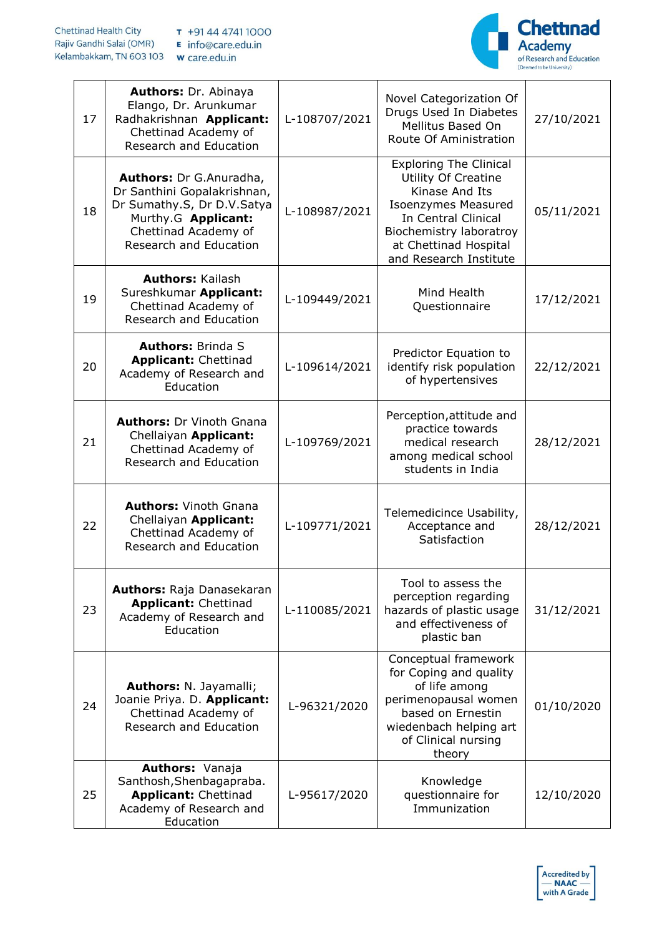

| 17 | <b>Authors: Dr. Abinaya</b><br>Elango, Dr. Arunkumar<br>Radhakrishnan Applicant:<br>Chettinad Academy of<br>Research and Education                            | L-108707/2021 | Novel Categorization Of<br>Drugs Used In Diabetes<br>Mellitus Based On<br>Route Of Aministration                                                                                                                 | 27/10/2021 |
|----|---------------------------------------------------------------------------------------------------------------------------------------------------------------|---------------|------------------------------------------------------------------------------------------------------------------------------------------------------------------------------------------------------------------|------------|
| 18 | Authors: Dr G.Anuradha,<br>Dr Santhini Gopalakrishnan,<br>Dr Sumathy.S, Dr D.V.Satya<br>Murthy.G Applicant:<br>Chettinad Academy of<br>Research and Education | L-108987/2021 | <b>Exploring The Clinical</b><br><b>Utility Of Creatine</b><br>Kinase And Its<br><b>Isoenzymes Measured</b><br>In Central Clinical<br>Biochemistry laboratroy<br>at Chettinad Hospital<br>and Research Institute | 05/11/2021 |
| 19 | <b>Authors: Kailash</b><br>Sureshkumar Applicant:<br>Chettinad Academy of<br>Research and Education                                                           | L-109449/2021 | Mind Health<br>Questionnaire                                                                                                                                                                                     | 17/12/2021 |
| 20 | <b>Authors: Brinda S</b><br><b>Applicant: Chettinad</b><br>Academy of Research and<br>Education                                                               | L-109614/2021 | Predictor Equation to<br>identify risk population<br>of hypertensives                                                                                                                                            | 22/12/2021 |
| 21 | <b>Authors: Dr Vinoth Gnana</b><br>Chellaiyan Applicant:<br>Chettinad Academy of<br><b>Research and Education</b>                                             | L-109769/2021 | Perception, attitude and<br>practice towards<br>medical research<br>among medical school<br>students in India                                                                                                    | 28/12/2021 |
| 22 | <b>Authors: Vinoth Gnana</b><br>Chellaiyan Applicant:<br>Chettinad Academy of<br>Research and Education                                                       | L-109771/2021 | Telemedicince Usability,<br>Acceptance and<br>Satisfaction                                                                                                                                                       | 28/12/2021 |
| 23 | <b>Authors: Raja Danasekaran</b><br><b>Applicant: Chettinad</b><br>Academy of Research and<br>Education                                                       | L-110085/2021 | Tool to assess the<br>perception regarding<br>hazards of plastic usage<br>and effectiveness of<br>plastic ban                                                                                                    | 31/12/2021 |
| 24 | Authors: N. Jayamalli;<br>Joanie Priya. D. Applicant:<br>Chettinad Academy of<br>Research and Education                                                       | L-96321/2020  | Conceptual framework<br>for Coping and quality<br>of life among<br>perimenopausal women<br>based on Ernestin<br>wiedenbach helping art<br>of Clinical nursing<br>theory                                          | 01/10/2020 |
| 25 | Authors: Vanaja<br>Santhosh, Shenbagapraba.<br><b>Applicant: Chettinad</b><br>Academy of Research and<br>Education                                            | L-95617/2020  | Knowledge<br>questionnaire for<br>Immunization                                                                                                                                                                   | 12/10/2020 |

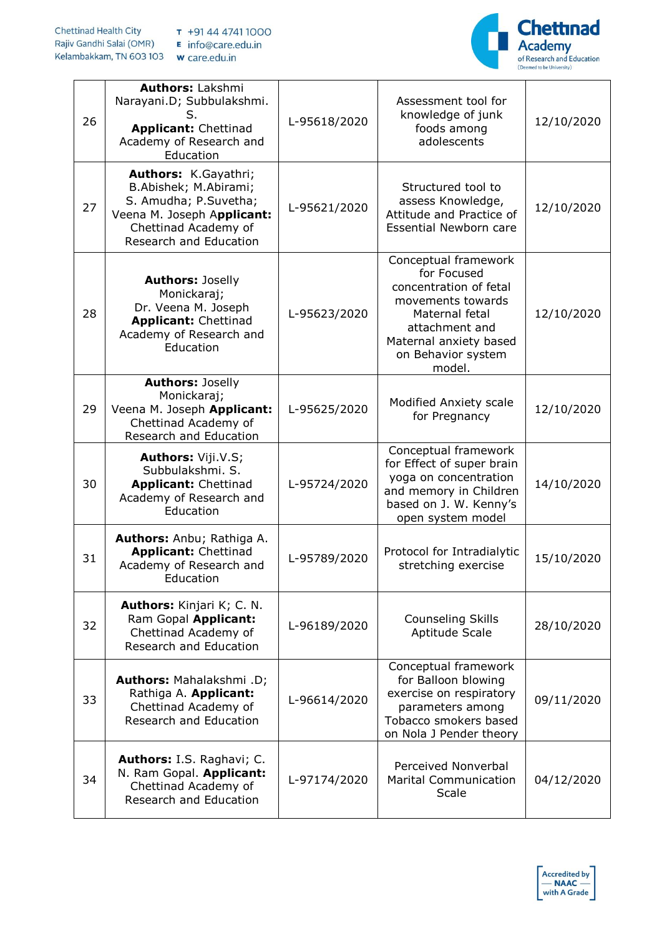

| 26 | <b>Authors: Lakshmi</b><br>Narayani.D; Subbulakshmi.<br><b>Applicant: Chettinad</b><br>Academy of Research and<br>Education                            | L-95618/2020 | Assessment tool for<br>knowledge of junk<br>foods among<br>adolescents                                                                                                           | 12/10/2020 |
|----|--------------------------------------------------------------------------------------------------------------------------------------------------------|--------------|----------------------------------------------------------------------------------------------------------------------------------------------------------------------------------|------------|
| 27 | Authors: K.Gayathri;<br>B.Abishek; M.Abirami;<br>S. Amudha; P.Suvetha;<br>Veena M. Joseph Applicant:<br>Chettinad Academy of<br>Research and Education | L-95621/2020 | Structured tool to<br>assess Knowledge,<br>Attitude and Practice of<br><b>Essential Newborn care</b>                                                                             | 12/10/2020 |
| 28 | <b>Authors: Joselly</b><br>Monickaraj;<br>Dr. Veena M. Joseph<br><b>Applicant: Chettinad</b><br>Academy of Research and<br>Education                   | L-95623/2020 | Conceptual framework<br>for Focused<br>concentration of fetal<br>movements towards<br>Maternal fetal<br>attachment and<br>Maternal anxiety based<br>on Behavior system<br>model. | 12/10/2020 |
| 29 | <b>Authors: Joselly</b><br>Monickaraj;<br>Veena M. Joseph Applicant:<br>Chettinad Academy of<br>Research and Education                                 | L-95625/2020 | Modified Anxiety scale<br>for Pregnancy                                                                                                                                          | 12/10/2020 |
| 30 | <b>Authors: Viji.V.S;</b><br>Subbulakshmi. S.<br><b>Applicant: Chettinad</b><br>Academy of Research and<br>Education                                   | L-95724/2020 | Conceptual framework<br>for Effect of super brain<br>yoga on concentration<br>and memory in Children<br>based on J. W. Kenny's<br>open system model                              | 14/10/2020 |
| 31 | Authors: Anbu; Rathiga A.<br><b>Applicant: Chettinad</b><br>Academy of Research and<br>Education                                                       | L-95789/2020 | Protocol for Intradialytic<br>stretching exercise                                                                                                                                | 15/10/2020 |
| 32 | Authors: Kinjari K; C. N.<br>Ram Gopal Applicant:<br>Chettinad Academy of<br>Research and Education                                                    | L-96189/2020 | <b>Counseling Skills</b><br>Aptitude Scale                                                                                                                                       | 28/10/2020 |
| 33 | Authors: Mahalakshmi .D;<br>Rathiga A. Applicant:<br>Chettinad Academy of<br><b>Research and Education</b>                                             | L-96614/2020 | Conceptual framework<br>for Balloon blowing<br>exercise on respiratory<br>parameters among<br>Tobacco smokers based<br>on Nola J Pender theory                                   | 09/11/2020 |
| 34 | Authors: I.S. Raghavi; C.<br>N. Ram Gopal. Applicant:<br>Chettinad Academy of<br>Research and Education                                                | L-97174/2020 | Perceived Nonverbal<br><b>Marital Communication</b><br><b>Scale</b>                                                                                                              | 04/12/2020 |